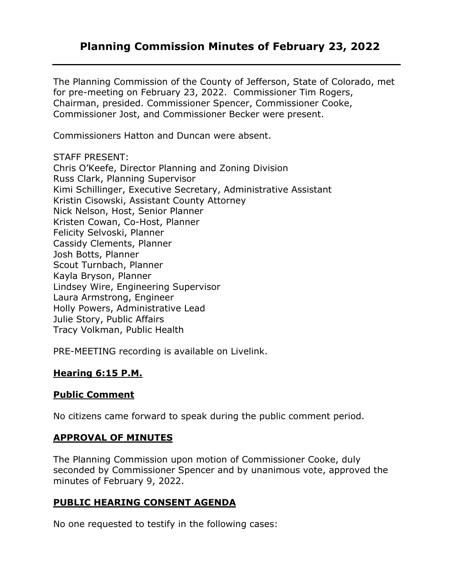# **Planning Commission Minutes of February 23, 2022**

The Planning Commission of the County of Jefferson, State of Colorado, met for pre-meeting on February 23, 2022. Commissioner Tim Rogers, Chairman, presided. Commissioner Spencer, Commissioner Cooke, Commissioner Jost, and Commissioner Becker were present.

Commissioners Hatton and Duncan were absent.

STAFF PRESENT:

Chris O'Keefe, Director Planning and Zoning Division Russ Clark, Planning Supervisor Kimi Schillinger, Executive Secretary, Administrative Assistant Kristin Cisowski, Assistant County Attorney Nick Nelson, Host, Senior Planner Kristen Cowan, Co-Host, Planner Felicity Selvoski, Planner Cassidy Clements, Planner Josh Botts, Planner Scout Turnbach, Planner Kayla Bryson, Planner Lindsey Wire, Engineering Supervisor Laura Armstrong, Engineer Holly Powers, Administrative Lead Julie Story, Public Affairs Tracy Volkman, Public Health

PRE-MEETING recording is available on Livelink.

### **Hearing 6:15 P.M.**

### **Public Comment**

No citizens came forward to speak during the public comment period.

### **APPROVAL OF MINUTES**

The Planning Commission upon motion of Commissioner Cooke, duly seconded by Commissioner Spencer and by unanimous vote, approved the minutes of February 9, 2022.

### **PUBLIC HEARING CONSENT AGENDA**

No one requested to testify in the following cases: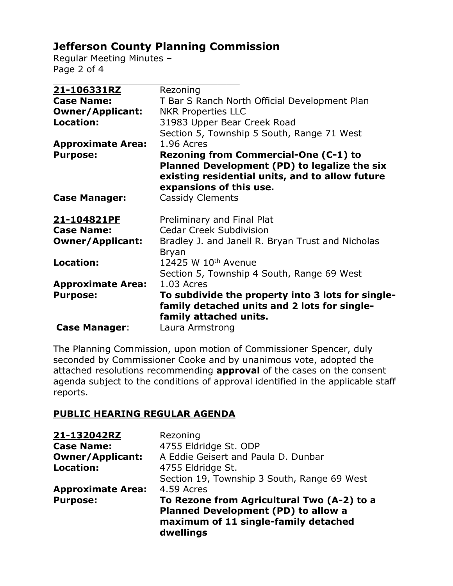# **Jefferson County Planning Commission**

Regular Meeting Minutes – Page 2 of 4

| 21-106331RZ              | Rezoning                                                                                                                                                            |
|--------------------------|---------------------------------------------------------------------------------------------------------------------------------------------------------------------|
| <b>Case Name:</b>        | T Bar S Ranch North Official Development Plan                                                                                                                       |
| <b>Owner/Applicant:</b>  | <b>NKR Properties LLC</b>                                                                                                                                           |
| Location:                | 31983 Upper Bear Creek Road                                                                                                                                         |
|                          | Section 5, Township 5 South, Range 71 West                                                                                                                          |
| <b>Approximate Area:</b> | 1.96 Acres                                                                                                                                                          |
| <b>Purpose:</b>          | Rezoning from Commercial-One (C-1) to<br>Planned Development (PD) to legalize the six<br>existing residential units, and to allow future<br>expansions of this use. |
| <b>Case Manager:</b>     | <b>Cassidy Clements</b>                                                                                                                                             |
| 21-104821PF              | Preliminary and Final Plat                                                                                                                                          |
| <b>Case Name:</b>        | <b>Cedar Creek Subdivision</b>                                                                                                                                      |
| <b>Owner/Applicant:</b>  | Bradley J. and Janell R. Bryan Trust and Nicholas<br><b>Bryan</b>                                                                                                   |
| Location:                | 12425 W 10th Avenue                                                                                                                                                 |
|                          | Section 5, Township 4 South, Range 69 West                                                                                                                          |
| <b>Approximate Area:</b> | 1.03 Acres                                                                                                                                                          |
| <b>Purpose:</b>          | To subdivide the property into 3 lots for single-<br>family detached units and 2 lots for single-<br>family attached units.                                         |
| <b>Case Manager:</b>     | Laura Armstrong                                                                                                                                                     |

The Planning Commission, upon motion of Commissioner Spencer, duly seconded by Commissioner Cooke and by unanimous vote, adopted the attached resolutions recommending **approval** of the cases on the consent agenda subject to the conditions of approval identified in the applicable staff reports.

### **PUBLIC HEARING REGULAR AGENDA**

| 21-132042RZ              | Rezoning                                                                                                                                      |
|--------------------------|-----------------------------------------------------------------------------------------------------------------------------------------------|
| <b>Case Name:</b>        | 4755 Eldridge St. ODP                                                                                                                         |
| <b>Owner/Applicant:</b>  | A Eddie Geisert and Paula D. Dunbar                                                                                                           |
| Location:                | 4755 Eldridge St.                                                                                                                             |
|                          | Section 19, Township 3 South, Range 69 West                                                                                                   |
| <b>Approximate Area:</b> | 4.59 Acres                                                                                                                                    |
| <b>Purpose:</b>          | To Rezone from Agricultural Two (A-2) to a<br><b>Planned Development (PD) to allow a</b><br>maximum of 11 single-family detached<br>dwellings |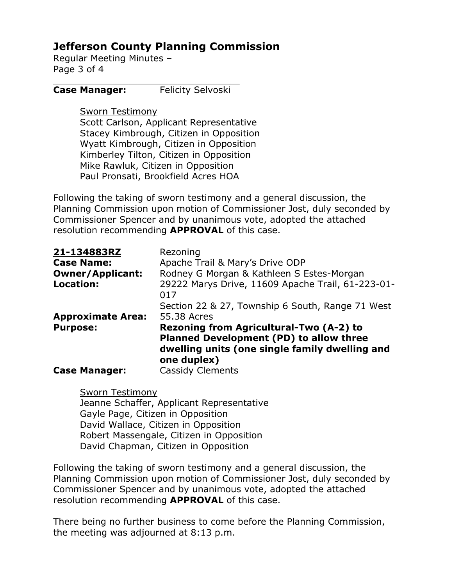# **Jefferson County Planning Commission**

Regular Meeting Minutes – Page 3 of 4

### **Case Manager:** Felicity Selvoski

#### Sworn Testimony

Scott Carlson, Applicant Representative Stacey Kimbrough, Citizen in Opposition Wyatt Kimbrough, Citizen in Opposition Kimberley Tilton, Citizen in Opposition Mike Rawluk, Citizen in Opposition Paul Pronsati, Brookfield Acres HOA

Following the taking of sworn testimony and a general discussion, the Planning Commission upon motion of Commissioner Jost, duly seconded by Commissioner Spencer and by unanimous vote, adopted the attached resolution recommending **APPROVAL** of this case.

| 21-134883RZ              | Rezoning                                                                                                                                                   |
|--------------------------|------------------------------------------------------------------------------------------------------------------------------------------------------------|
| <b>Case Name:</b>        | Apache Trail & Mary's Drive ODP                                                                                                                            |
| <b>Owner/Applicant:</b>  | Rodney G Morgan & Kathleen S Estes-Morgan                                                                                                                  |
| <b>Location:</b>         | 29222 Marys Drive, 11609 Apache Trail, 61-223-01-<br>017                                                                                                   |
|                          | Section 22 & 27, Township 6 South, Range 71 West                                                                                                           |
| <b>Approximate Area:</b> | 55.38 Acres                                                                                                                                                |
| <b>Purpose:</b>          | <b>Rezoning from Agricultural-Two (A-2) to</b><br>Planned Development (PD) to allow three<br>dwelling units (one single family dwelling and<br>one duplex) |
| <b>Case Manager:</b>     | <b>Cassidy Clements</b>                                                                                                                                    |

Sworn Testimony Jeanne Schaffer, Applicant Representative Gayle Page, Citizen in Opposition David Wallace, Citizen in Opposition Robert Massengale, Citizen in Opposition David Chapman, Citizen in Opposition

Following the taking of sworn testimony and a general discussion, the Planning Commission upon motion of Commissioner Jost, duly seconded by Commissioner Spencer and by unanimous vote, adopted the attached resolution recommending **APPROVAL** of this case.

There being no further business to come before the Planning Commission, the meeting was adjourned at 8:13 p.m.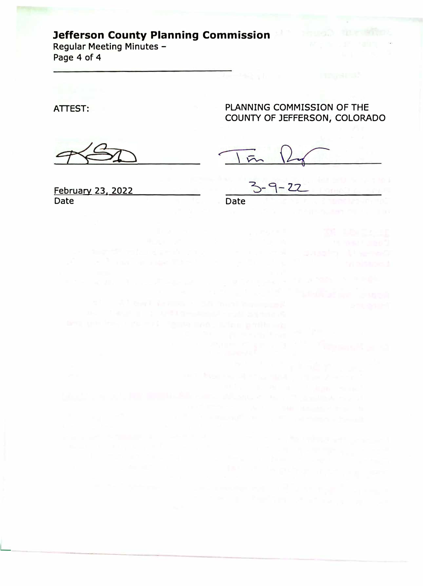# **Jefferson County Planning Commission**

**Regular Meeting Minutes - Page 4 of 4** 

**ATTEST:** 

L

**PLANNING COMMISSION OF THE COUNTY OF JEFFERSON, COLORADO** 

An enterprise statement of

云

**February 23. 2022 Date** 

**Date**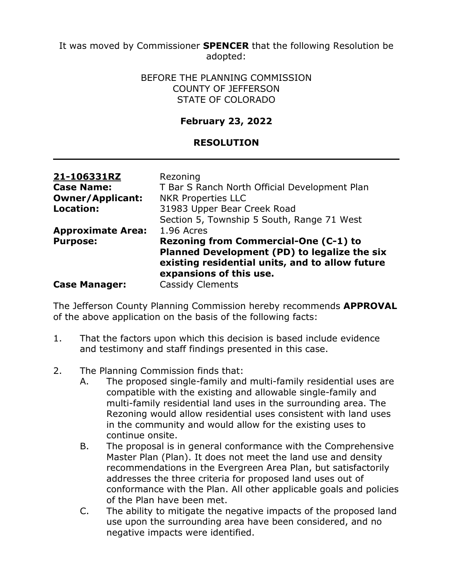It was moved by Commissioner **SPENCER** that the following Resolution be adopted:

### BEFORE THE PLANNING COMMISSION COUNTY OF JEFFERSON STATE OF COLORADO

### **February 23, 2022**

### **RESOLUTION**

| 21-106331RZ              | Rezoning                                                                                                                   |
|--------------------------|----------------------------------------------------------------------------------------------------------------------------|
| <b>Case Name:</b>        | T Bar S Ranch North Official Development Plan                                                                              |
| <b>Owner/Applicant:</b>  | <b>NKR Properties LLC</b>                                                                                                  |
| <b>Location:</b>         | 31983 Upper Bear Creek Road                                                                                                |
|                          | Section 5, Township 5 South, Range 71 West                                                                                 |
| <b>Approximate Area:</b> | 1.96 Acres                                                                                                                 |
| <b>Purpose:</b>          | Rezoning from Commercial-One (C-1) to                                                                                      |
|                          | Planned Development (PD) to legalize the six<br>existing residential units, and to allow future<br>expansions of this use. |
| <b>Case Manager:</b>     | <b>Cassidy Clements</b>                                                                                                    |

The Jefferson County Planning Commission hereby recommends **APPROVAL** of the above application on the basis of the following facts:

- 1. That the factors upon which this decision is based include evidence and testimony and staff findings presented in this case.
- 2. The Planning Commission finds that:
	- A. The proposed single-family and multi-family residential uses are compatible with the existing and allowable single-family and multi-family residential land uses in the surrounding area. The Rezoning would allow residential uses consistent with land uses in the community and would allow for the existing uses to continue onsite.
	- B. The proposal is in general conformance with the Comprehensive Master Plan (Plan). It does not meet the land use and density recommendations in the Evergreen Area Plan, but satisfactorily addresses the three criteria for proposed land uses out of conformance with the Plan. All other applicable goals and policies of the Plan have been met.
	- C. The ability to mitigate the negative impacts of the proposed land use upon the surrounding area have been considered, and no negative impacts were identified.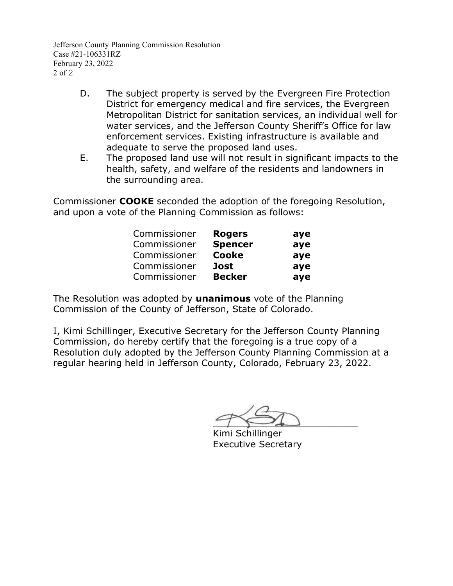Jefferson County Planning Commission Resolution Case #21-106331RZ February 23, 2022 2 of 2

- D. The subject property is served by the Evergreen Fire Protection District for emergency medical and fire services, the Evergreen Metropolitan District for sanitation services, an individual well for water services, and the Jefferson County Sheriff's Office for law enforcement services. Existing infrastructure is available and adequate to serve the proposed land uses.
- E. The proposed land use will not result in significant impacts to the health, safety, and welfare of the residents and landowners in the surrounding area.

Commissioner **COOKE** seconded the adoption of the foregoing Resolution, and upon a vote of the Planning Commission as follows:

| Commissioner | <b>Rogers</b>  | aye |
|--------------|----------------|-----|
| Commissioner | <b>Spencer</b> | aye |
| Commissioner | <b>Cooke</b>   | aye |
| Commissioner | Jost           | aye |
| Commissioner | <b>Becker</b>  | aye |

The Resolution was adopted by **unanimous** vote of the Planning Commission of the County of Jefferson, State of Colorado.

 $\sim$ 

Kimi Schillinger Executive Secretary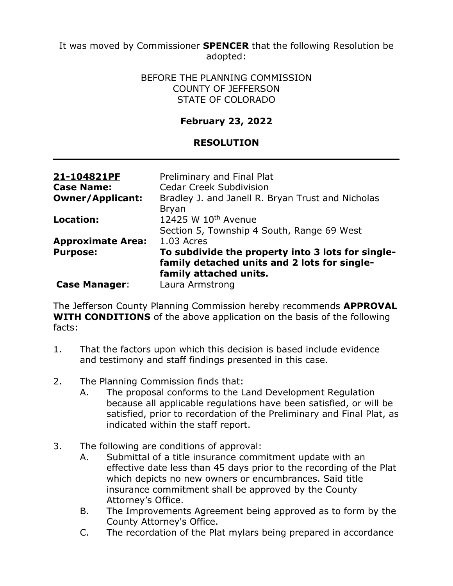It was moved by Commissioner **SPENCER** that the following Resolution be adopted:

### BEFORE THE PLANNING COMMISSION COUNTY OF JEFFERSON STATE OF COLORADO

### **February 23, 2022**

### **RESOLUTION**

| 21-104821PF              | Preliminary and Final Plat                                                                        |
|--------------------------|---------------------------------------------------------------------------------------------------|
| <b>Case Name:</b>        | <b>Cedar Creek Subdivision</b>                                                                    |
| <b>Owner/Applicant:</b>  | Bradley J. and Janell R. Bryan Trust and Nicholas                                                 |
|                          | <b>Bryan</b>                                                                                      |
| Location:                | 12425 W 10th Avenue                                                                               |
|                          | Section 5, Township 4 South, Range 69 West                                                        |
| <b>Approximate Area:</b> | $1.03$ Acres                                                                                      |
| <b>Purpose:</b>          | To subdivide the property into 3 lots for single-<br>family detached units and 2 lots for single- |
|                          | family attached units.                                                                            |
| <b>Case Manager:</b>     | Laura Armstrong                                                                                   |

The Jefferson County Planning Commission hereby recommends **APPROVAL WITH CONDITIONS** of the above application on the basis of the following facts:

- 1. That the factors upon which this decision is based include evidence and testimony and staff findings presented in this case.
- 2. The Planning Commission finds that:
	- A. The proposal conforms to the Land Development Regulation because all applicable regulations have been satisfied, or will be satisfied, prior to recordation of the Preliminary and Final Plat, as indicated within the staff report.
- 3. The following are conditions of approval:
	- A. Submittal of a title insurance commitment update with an effective date less than 45 days prior to the recording of the Plat which depicts no new owners or encumbrances. Said title insurance commitment shall be approved by the County Attorney's Office.
	- B. The Improvements Agreement being approved as to form by the County Attorney's Office.
	- C. The recordation of the Plat mylars being prepared in accordance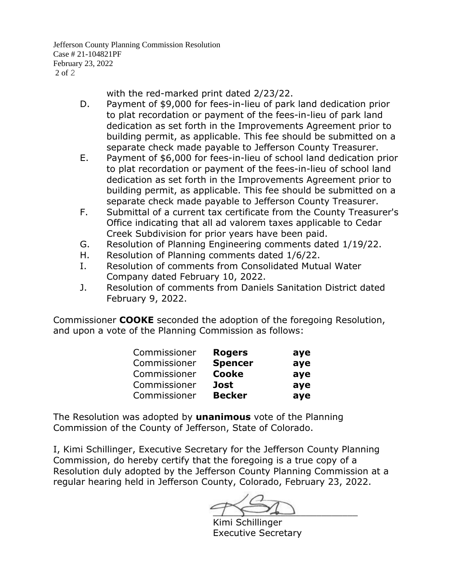Jefferson County Planning Commission Resolution Case # 21-104821PF February 23, 2022 2 of 2

with the red-marked print dated 2/23/22.

- D. Payment of \$9,000 for fees-in-lieu of park land dedication prior to plat recordation or payment of the fees-in-lieu of park land dedication as set forth in the Improvements Agreement prior to building permit, as applicable. This fee should be submitted on a separate check made payable to Jefferson County Treasurer.
- E. Payment of \$6,000 for fees-in-lieu of school land dedication prior to plat recordation or payment of the fees-in-lieu of school land dedication as set forth in the Improvements Agreement prior to building permit, as applicable. This fee should be submitted on a separate check made payable to Jefferson County Treasurer.
- F. Submittal of a current tax certificate from the County Treasurer's Office indicating that all ad valorem taxes applicable to Cedar Creek Subdivision for prior years have been paid.
- G. Resolution of Planning Engineering comments dated 1/19/22.
- H. Resolution of Planning comments dated 1/6/22.
- I. Resolution of comments from Consolidated Mutual Water Company dated February 10, 2022.
- J. Resolution of comments from Daniels Sanitation District dated February 9, 2022.

Commissioner **COOKE** seconded the adoption of the foregoing Resolution, and upon a vote of the Planning Commission as follows:

| Commissioner | <b>Rogers</b>  | aye |
|--------------|----------------|-----|
| Commissioner | <b>Spencer</b> | aye |
| Commissioner | <b>Cooke</b>   | aye |
| Commissioner | <b>Jost</b>    | aye |
| Commissioner | <b>Becker</b>  | aye |

The Resolution was adopted by **unanimous** vote of the Planning Commission of the County of Jefferson, State of Colorado.

 $\overline{\phantom{a}}$ 

Kimi Schillinger Executive Secretary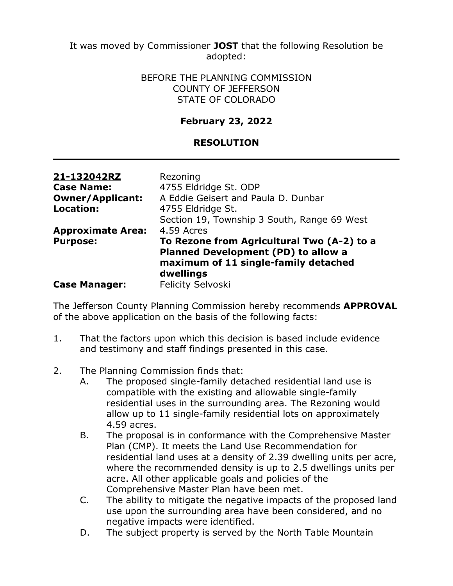It was moved by Commissioner **JOST** that the following Resolution be adopted:

### BEFORE THE PLANNING COMMISSION COUNTY OF JEFFERSON STATE OF COLORADO

### **February 23, 2022**

### **RESOLUTION**

| 21-132042RZ<br><b>Case Name:</b><br><b>Owner/Applicant:</b> | Rezoning<br>4755 Eldridge St. ODP<br>A Eddie Geisert and Paula D. Dunbar                                                                      |  |
|-------------------------------------------------------------|-----------------------------------------------------------------------------------------------------------------------------------------------|--|
| <b>Location:</b><br><b>Approximate Area:</b>                | 4755 Eldridge St.<br>Section 19, Township 3 South, Range 69 West<br>4.59 Acres                                                                |  |
| <b>Purpose:</b>                                             | To Rezone from Agricultural Two (A-2) to a<br><b>Planned Development (PD) to allow a</b><br>maximum of 11 single-family detached<br>dwellings |  |
| <b>Case Manager:</b>                                        | <b>Felicity Selvoski</b>                                                                                                                      |  |

The Jefferson County Planning Commission hereby recommends **APPROVAL** of the above application on the basis of the following facts:

- 1. That the factors upon which this decision is based include evidence and testimony and staff findings presented in this case.
- 2. The Planning Commission finds that:
	- A. The proposed single-family detached residential land use is compatible with the existing and allowable single-family residential uses in the surrounding area. The Rezoning would allow up to 11 single-family residential lots on approximately 4.59 acres.
	- B. The proposal is in conformance with the Comprehensive Master Plan (CMP). It meets the Land Use Recommendation for residential land uses at a density of 2.39 dwelling units per acre, where the recommended density is up to 2.5 dwellings units per acre. All other applicable goals and policies of the Comprehensive Master Plan have been met.
	- C. The ability to mitigate the negative impacts of the proposed land use upon the surrounding area have been considered, and no negative impacts were identified.
	- D. The subject property is served by the North Table Mountain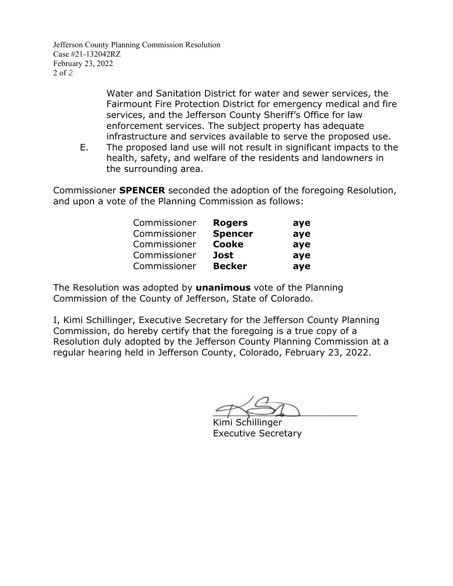Jefferson County Planning Commission Resolution Case #21-132042RZ February 23, 2022 2 of 2

> Water and Sanitation District for water and sewer services, the Fairmount Fire Protection District for emergency medical and fire services, and the Jefferson County Sheriff's Office for law enforcement services. The subject property has adequate infrastructure and services available to serve the proposed use.

E. The proposed land use will not result in significant impacts to the health, safety, and welfare of the residents and landowners in the surrounding area.

Commissioner **SPENCER** seconded the adoption of the foregoing Resolution, and upon a vote of the Planning Commission as follows:

| Commissioner | <b>Rogers</b>  | aye |
|--------------|----------------|-----|
| Commissioner | <b>Spencer</b> | aye |
| Commissioner | <b>Cooke</b>   | aye |
| Commissioner | Jost           | aye |
| Commissioner | <b>Becker</b>  | aye |

The Resolution was adopted by **unanimous** vote of the Planning Commission of the County of Jefferson, State of Colorado.

 $9 \leq \frac{1}{2}$ 

Kimi Schillinger Executive Secretary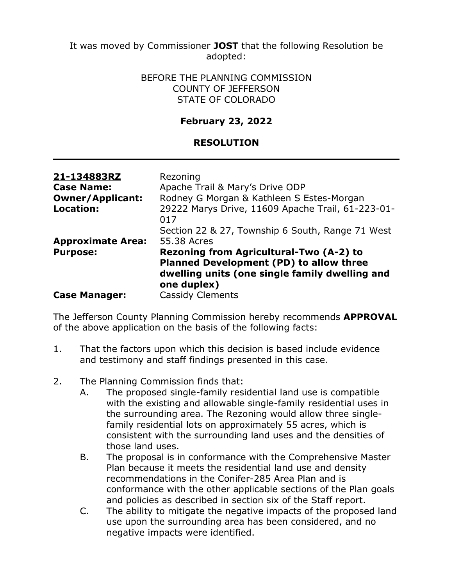It was moved by Commissioner **JOST** that the following Resolution be adopted:

### BEFORE THE PLANNING COMMISSION COUNTY OF JEFFERSON STATE OF COLORADO

### **February 23, 2022**

### **RESOLUTION**

| 21-134883RZ<br><b>Case Name:</b><br><b>Owner/Applicant:</b><br><b>Location:</b> | Rezoning<br>Apache Trail & Mary's Drive ODP<br>Rodney G Morgan & Kathleen S Estes-Morgan<br>29222 Marys Drive, 11609 Apache Trail, 61-223-01-       |
|---------------------------------------------------------------------------------|-----------------------------------------------------------------------------------------------------------------------------------------------------|
| <b>Approximate Area:</b>                                                        | 017<br>Section 22 & 27, Township 6 South, Range 71 West<br>55.38 Acres                                                                              |
| <b>Purpose:</b>                                                                 | Rezoning from Agricultural-Two (A-2) to<br>Planned Development (PD) to allow three<br>dwelling units (one single family dwelling and<br>one duplex) |
| <b>Case Manager:</b>                                                            | <b>Cassidy Clements</b>                                                                                                                             |

The Jefferson County Planning Commission hereby recommends **APPROVAL** of the above application on the basis of the following facts:

- 1. That the factors upon which this decision is based include evidence and testimony and staff findings presented in this case.
- 2. The Planning Commission finds that:
	- A. The proposed single-family residential land use is compatible with the existing and allowable single-family residential uses in the surrounding area. The Rezoning would allow three singlefamily residential lots on approximately 55 acres, which is consistent with the surrounding land uses and the densities of those land uses.
	- B. The proposal is in conformance with the Comprehensive Master Plan because it meets the residential land use and density recommendations in the Conifer-285 Area Plan and is conformance with the other applicable sections of the Plan goals and policies as described in section six of the Staff report.
	- C. The ability to mitigate the negative impacts of the proposed land use upon the surrounding area has been considered, and no negative impacts were identified.